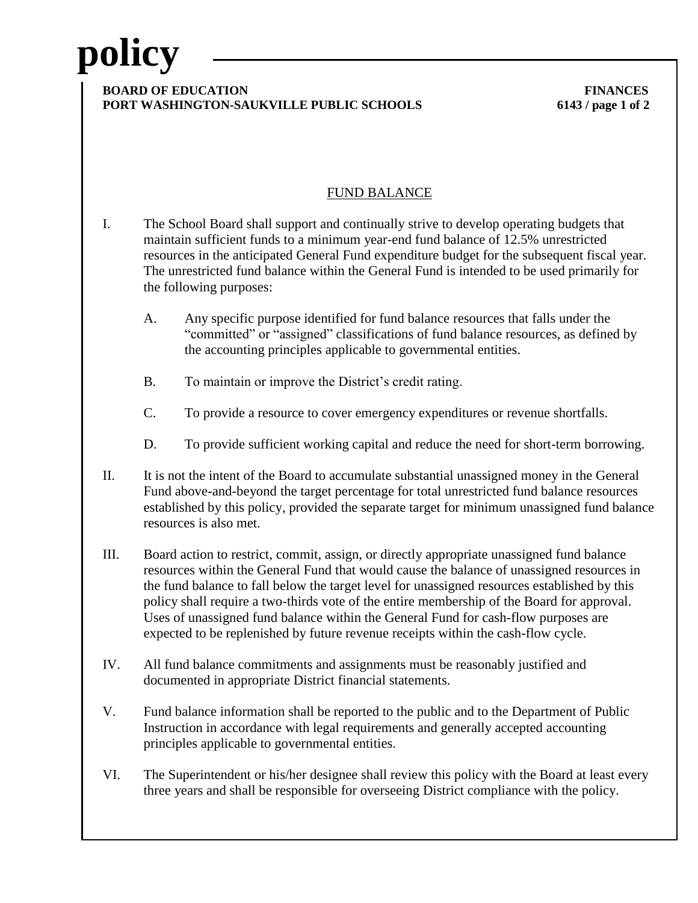# **policy**

### **BOARD OF EDUCATION** FINANCES **PORT WASHINGTON-SAUKVILLE PUBLIC SCHOOLS 6143 / page 1 of 2**

## FUND BALANCE

- I. The School Board shall support and continually strive to develop operating budgets that maintain sufficient funds to a minimum year-end fund balance of 12.5% unrestricted resources in the anticipated General Fund expenditure budget for the subsequent fiscal year. The unrestricted fund balance within the General Fund is intended to be used primarily for the following purposes:
	- A. Any specific purpose identified for fund balance resources that falls under the "committed" or "assigned" classifications of fund balance resources, as defined by the accounting principles applicable to governmental entities.
	- B. To maintain or improve the District's credit rating.
	- C. To provide a resource to cover emergency expenditures or revenue shortfalls.
	- D. To provide sufficient working capital and reduce the need for short-term borrowing.
- II. It is not the intent of the Board to accumulate substantial unassigned money in the General Fund above-and-beyond the target percentage for total unrestricted fund balance resources established by this policy, provided the separate target for minimum unassigned fund balance resources is also met.
- III. Board action to restrict, commit, assign, or directly appropriate unassigned fund balance resources within the General Fund that would cause the balance of unassigned resources in the fund balance to fall below the target level for unassigned resources established by this policy shall require a two-thirds vote of the entire membership of the Board for approval. Uses of unassigned fund balance within the General Fund for cash-flow purposes are expected to be replenished by future revenue receipts within the cash-flow cycle.
- IV. All fund balance commitments and assignments must be reasonably justified and documented in appropriate District financial statements.
- V. Fund balance information shall be reported to the public and to the Department of Public Instruction in accordance with legal requirements and generally accepted accounting principles applicable to governmental entities.
- VI. The Superintendent or his/her designee shall review this policy with the Board at least every three years and shall be responsible for overseeing District compliance with the policy.